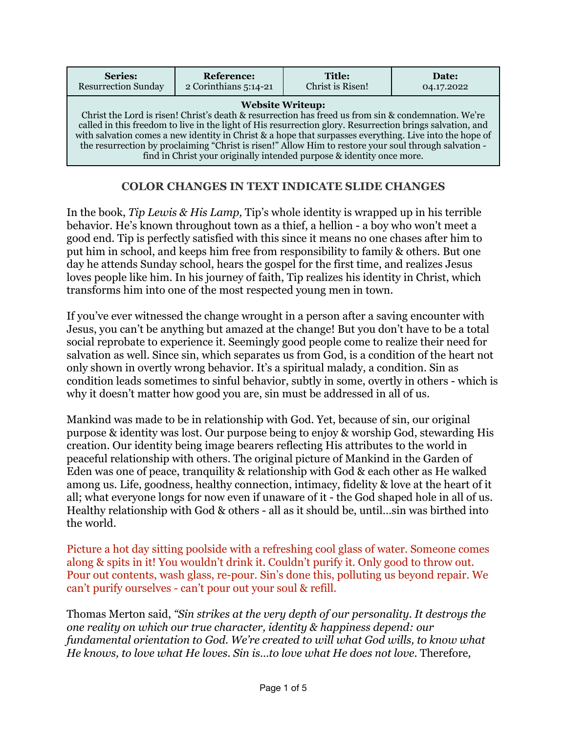| Series:                                                                                                                                                                                                                                                                                                                                                                                                                                                                                                                                  | <b>Reference:</b>     | Title:           | Date:      |
|------------------------------------------------------------------------------------------------------------------------------------------------------------------------------------------------------------------------------------------------------------------------------------------------------------------------------------------------------------------------------------------------------------------------------------------------------------------------------------------------------------------------------------------|-----------------------|------------------|------------|
| <b>Resurrection Sunday</b>                                                                                                                                                                                                                                                                                                                                                                                                                                                                                                               | 2 Corinthians 5:14-21 | Christ is Risen! | 04.17.2022 |
| <b>Website Writeup:</b><br>Christ the Lord is risen! Christ's death & resurrection has freed us from sin & condemnation. We're<br>called in this freedom to live in the light of His resurrection glory. Resurrection brings salvation, and<br>with salvation comes a new identity in Christ & a hope that surpasses everything. Live into the hope of<br>the resurrection by proclaiming "Christ is risen!" Allow Him to restore your soul through salvation -<br>find in Christ your originally intended purpose & identity once more. |                       |                  |            |

## **COLOR CHANGES IN TEXT INDICATE SLIDE CHANGES**

In the book, *Tip Lewis & His Lamp,* Tip's whole identity is wrapped up in his terrible behavior. He's known throughout town as a thief, a hellion - a boy who won't meet a good end. Tip is perfectly satisfied with this since it means no one chases after him to put him in school, and keeps him free from responsibility to family & others. But one day he attends Sunday school, hears the gospel for the first time, and realizes Jesus loves people like him. In his journey of faith, Tip realizes his identity in Christ, which transforms him into one of the most respected young men in town.

If you've ever witnessed the change wrought in a person after a saving encounter with Jesus, you can't be anything but amazed at the change! But you don't have to be a total social reprobate to experience it. Seemingly good people come to realize their need for salvation as well. Since sin, which separates us from God, is a condition of the heart not only shown in overtly wrong behavior. It's a spiritual malady, a condition. Sin as condition leads sometimes to sinful behavior, subtly in some, overtly in others - which is why it doesn't matter how good you are, sin must be addressed in all of us.

Mankind was made to be in relationship with God. Yet, because of sin, our original purpose & identity was lost. Our purpose being to enjoy & worship God, stewarding His creation. Our identity being image bearers reflecting His attributes to the world in peaceful relationship with others. The original picture of Mankind in the Garden of Eden was one of peace, tranquility & relationship with God & each other as He walked among us. Life, goodness, healthy connection, intimacy, fidelity & love at the heart of it all; what everyone longs for now even if unaware of it - the God shaped hole in all of us. Healthy relationship with God & others - all as it should be, until…sin was birthed into the world.

Picture a hot day sitting poolside with a refreshing cool glass of water. Someone comes along & spits in it! You wouldn't drink it. Couldn't purify it. Only good to throw out. Pour out contents, wash glass, re-pour. Sin's done this, polluting us beyond repair. We can't purify ourselves - can't pour out your soul & refill.

Thomas Merton said, *"Sin strikes at the very depth of our personality. It destroys the one reality on which our true character, identity & happiness depend: our fundamental orientation to God. We're created to will what God wills, to know what He knows, to love what He loves. Sin is…to love what He does not love.* Therefore*,*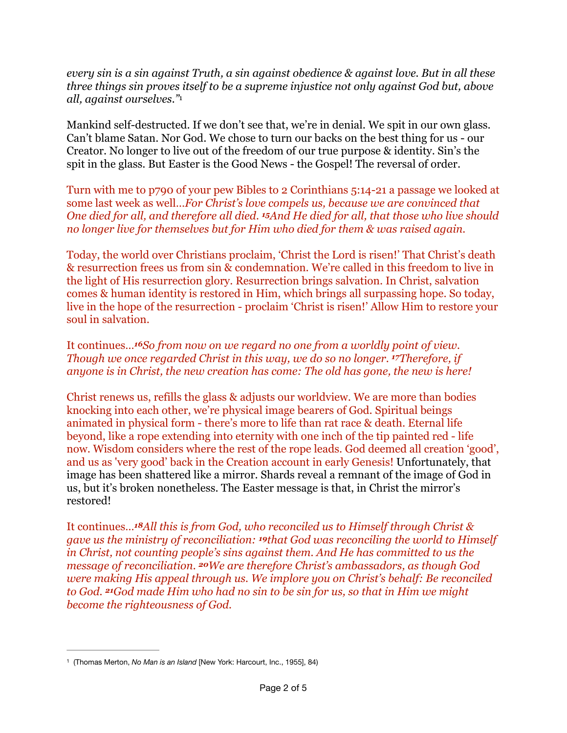<span id="page-1-1"></span>*every sin is a sin against Truth, a sin against obedience & against love. But in all these three things sin proves itself to be a supreme injustice not only against God but, above all, against ourselves."*[1](#page-1-0)

Mankind self-destructed. If we don't see that, we're in denial. We spit in our own glass. Can't blame Satan. Nor God. We chose to turn our backs on the best thing for us - our Creator. No longer to live out of the freedom of our true purpose & identity. Sin's the spit in the glass. But Easter is the Good News - the Gospel! The reversal of order.

Turn with me to p790 of your pew Bibles to 2 Corinthians 5:14-21 a passage we looked at some last week as well…*For Christ's love compels us, because we are convinced that One died for all, and therefore all died. 15And He died for all, that those who live should no longer live for themselves but for Him who died for them & was raised again.*

Today, the world over Christians proclaim, 'Christ the Lord is risen!' That Christ's death & resurrection frees us from sin & condemnation. We're called in this freedom to live in the light of His resurrection glory. Resurrection brings salvation. In Christ, salvation comes & human identity is restored in Him, which brings all surpassing hope. So today, live in the hope of the resurrection - proclaim 'Christ is risen!' Allow Him to restore your soul in salvation.

It continues…*16So from now on we regard no one from a worldly point of view. Though we once regarded Christ in this way, we do so no longer. <sup>17</sup>Therefore, if anyone is in Christ, the new creation has come: The old has gone, the new is here!* 

Christ renews us, refills the glass & adjusts our worldview. We are more than bodies knocking into each other, we're physical image bearers of God. Spiritual beings animated in physical form - there's more to life than rat race & death. Eternal life beyond, like a rope extending into eternity with one inch of the tip painted red - life now. Wisdom considers where the rest of the rope leads. God deemed all creation 'good', and us as 'very good' back in the Creation account in early Genesis! Unfortunately, that image has been shattered like a mirror. Shards reveal a remnant of the image of God in us, but it's broken nonetheless. The Easter message is that, in Christ the mirror's restored!

It continues…*18All this is from God, who reconciled us to Himself through Christ & gave us the ministry of reconciliation: 19that God was reconciling the world to Himself in Christ, not counting people's sins against them. And He has committed to us the message of reconciliation. 20We are therefore Christ's ambassadors, as though God were making His appeal through us. We implore you on Christ's behalf: Be reconciled to God. 21God made Him who had no sin to be sin for us, so that in Him we might become the righteousness of God.*

<span id="page-1-0"></span> <sup>(</sup>Thomas Merton, *No Man is an Island* [New York: Harcourt, Inc., 1955], 84) [1](#page-1-1)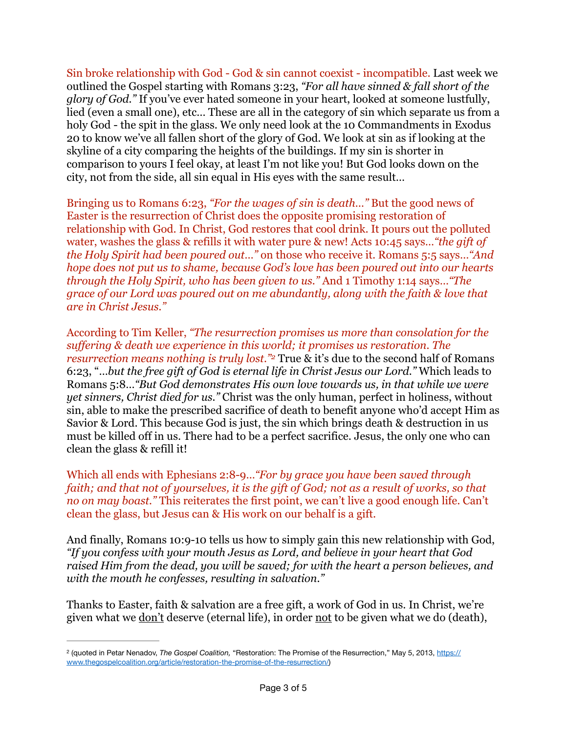Sin broke relationship with God - God & sin cannot coexist - incompatible. Last week we outlined the Gospel starting with Romans 3:23, *"For all have sinned & fall short of the glory of God."* If you've ever hated someone in your heart, looked at someone lustfully, lied (even a small one), etc… These are all in the category of sin which separate us from a holy God - the spit in the glass. We only need look at the 10 Commandments in Exodus 20 to know we've all fallen short of the glory of God. We look at sin as if looking at the skyline of a city comparing the heights of the buildings. If my sin is shorter in comparison to yours I feel okay, at least I'm not like you! But God looks down on the city, not from the side, all sin equal in His eyes with the same result…

Bringing us to Romans 6:23, *"For the wages of sin is death…"* But the good news of Easter is the resurrection of Christ does the opposite promising restoration of relationship with God. In Christ, God restores that cool drink. It pours out the polluted water, washes the glass & refills it with water pure & new! Acts 10:45 says…*"the gift of the Holy Spirit had been poured out…"* on those who receive it. Romans 5:5 says…*"And hope does not put us to shame, because God's love has been poured out into our hearts through the Holy Spirit, who has been given to us."* And 1 Timothy 1:14 says…*"The grace of our Lord was poured out on me abundantly, along with the faith & love that are in Christ Jesus."*

<span id="page-2-1"></span>According to Tim Keller, *"The resurrection promises us more than consolation for the suffering & death we experience in this world; it promises us restoration. The resurrection means nothing is truly lost.*" True & it's due to the second half of Romans 6:23, "…*but the free gift of God is eternal life in Christ Jesus our Lord."* Which leads to Romans 5:8…*"But God demonstrates His own love towards us, in that while we were yet sinners, Christ died for us."* Christ was the only human, perfect in holiness, without sin, able to make the prescribed sacrifice of death to benefit anyone who'd accept Him as Savior & Lord. This because God is just, the sin which brings death & destruction in us must be killed off in us. There had to be a perfect sacrifice. Jesus, the only one who can clean the glass & refill it!

Which all ends with Ephesians 2:8-9…*"For by grace you have been saved through faith; and that not of yourselves, it is the gift of God; not as a result of works, so that no on may boast."* This reiterates the first point, we can't live a good enough life. Can't clean the glass, but Jesus can & His work on our behalf is a gift.

And finally, Romans 10:9-10 tells us how to simply gain this new relationship with God, *"If you confess with your mouth Jesus as Lord, and believe in your heart that God raised Him from the dead, you will be saved; for with the heart a person believes, and with the mouth he confesses, resulting in salvation."*

Thanks to Easter, faith & salvation are a free gift, a work of God in us. In Christ, we're given what we don't deserve (eternal life), in order not to be given what we do (death),

<span id="page-2-0"></span><sup>&</sup>lt;sup>[2](#page-2-1)</sup> (quoted in Petar Nenadov, *The Gospel Coalition*, "Restoration: The Promise of the Resurrection," May 5, 2013, [https://](https://www.thegospelcoalition.org/article/restoration-the-promise-of-the-resurrection/) [www.thegospelcoalition.org/article/restoration-the-promise-of-the-resurrection/](https://www.thegospelcoalition.org/article/restoration-the-promise-of-the-resurrection/))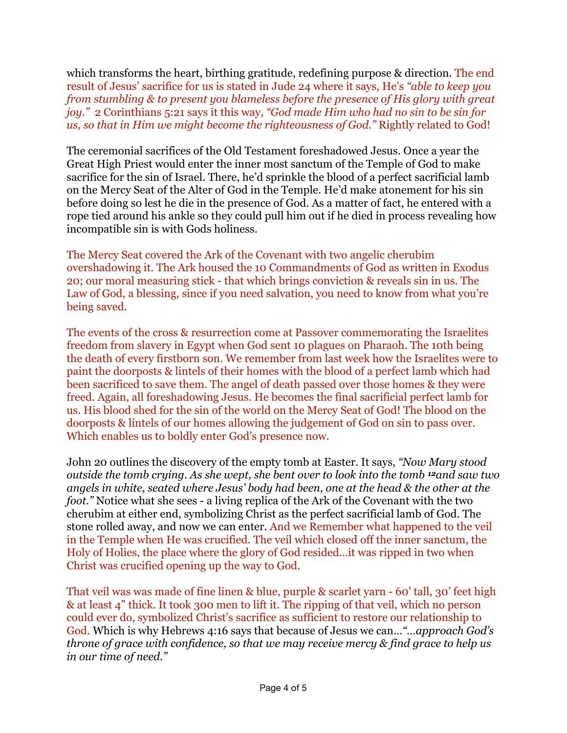which transforms the heart, birthing gratitude, redefining purpose & direction. The end result of Jesus' sacrifice for us is stated in Jude 24 where it says, He's *"able to keep you from stumbling & to present you blameless before the presence of His glory with great joy."* 2 Corinthians 5:21 says it this way, *"God made Him who had no sin to be sin for us, so that in Him we might become the righteousness of God."* Rightly related to God!

The ceremonial sacrifices of the Old Testament foreshadowed Jesus. Once a year the Great High Priest would enter the inner most sanctum of the Temple of God to make sacrifice for the sin of Israel. There, he'd sprinkle the blood of a perfect sacrificial lamb on the Mercy Seat of the Alter of God in the Temple. He'd make atonement for his sin before doing so lest he die in the presence of God. As a matter of fact, he entered with a rope tied around his ankle so they could pull him out if he died in process revealing how incompatible sin is with Gods holiness.

The Mercy Seat covered the Ark of the Covenant with two angelic cherubim overshadowing it. The Ark housed the 10 Commandments of God as written in Exodus 20; our moral measuring stick - that which brings conviction & reveals sin in us. The Law of God, a blessing, since if you need salvation, you need to know from what you're being saved.

The events of the cross & resurrection come at Passover commemorating the Israelites freedom from slavery in Egypt when God sent 10 plagues on Pharaoh. The 10th being the death of every firstborn son. We remember from last week how the Israelites were to paint the doorposts & lintels of their homes with the blood of a perfect lamb which had been sacrificed to save them. The angel of death passed over those homes & they were freed. Again, all foreshadowing Jesus. He becomes the final sacrificial perfect lamb for us. His blood shed for the sin of the world on the Mercy Seat of God! The blood on the doorposts & lintels of our homes allowing the judgement of God on sin to pass over. Which enables us to boldly enter God's presence now.

John 20 outlines the discovery of the empty tomb at Easter. It says, *"Now Mary stood outside the tomb crying. As she wept, she bent over to look into the tomb 12and saw two angels in white, seated where Jesus' body had been, one at the head & the other at the foot."* Notice what she sees - a living replica of the Ark of the Covenant with the two cherubim at either end, symbolizing Christ as the perfect sacrificial lamb of God. The stone rolled away, and now we can enter. And we Remember what happened to the veil in the Temple when He was crucified. The veil which closed off the inner sanctum, the Holy of Holies, the place where the glory of God resided…it was ripped in two when Christ was crucified opening up the way to God.

That veil was was made of fine linen & blue, purple & scarlet yarn - 60' tall, 30' feet high & at least 4" thick. It took 300 men to lift it. The ripping of that veil, which no person could ever do, symbolized Christ's sacrifice as sufficient to restore our relationship to God. Which is why Hebrews 4:16 says that because of Jesus we can…*"…approach God's throne of grace with confidence, so that we may receive mercy & find grace to help us in our time of need."*